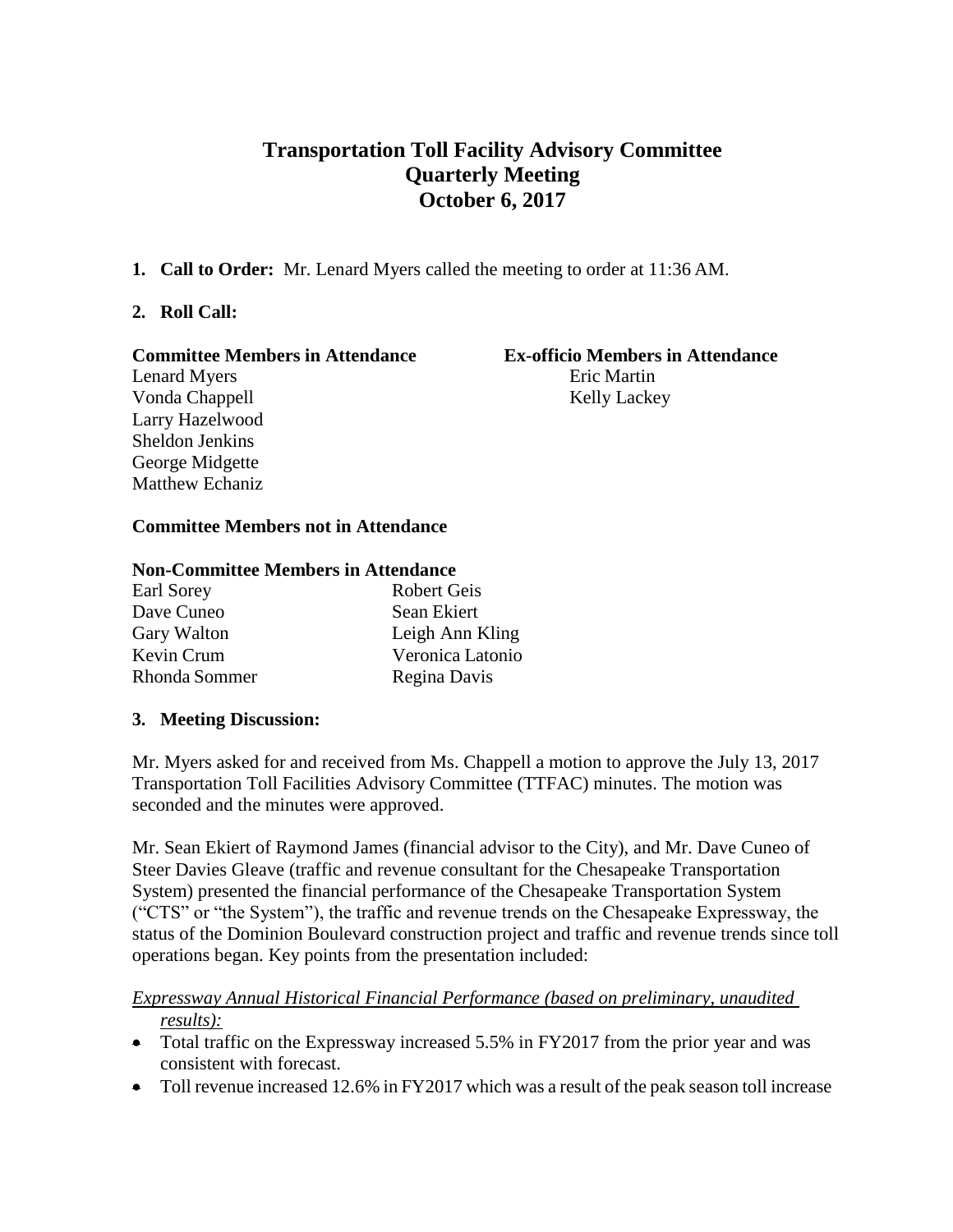# **Transportation Toll Facility Advisory Committee Quarterly Meeting October 6, 2017**

**1. Call to Order:** Mr. Lenard Myers called the meeting to order at 11:36 AM.

## **2. Roll Call:**

#### **Committee Members in Attendance Ex-officio Members in Attendance**

# Vonda Chappell Kelly Lackey Larry Hazelwood Sheldon Jenkins George Midgette Matthew Echaniz

# Lenard Myers **Exited Myers** Eric Martin

## **Committee Members not in Attendance**

#### **Non-Committee Members in Attendance**

| <b>Robert Geis</b> |
|--------------------|
| Sean Ekiert        |
| Leigh Ann Kling    |
| Veronica Latonio   |
| Regina Davis       |
|                    |

#### **3. Meeting Discussion:**

Mr. Myers asked for and received from Ms. Chappell a motion to approve the July 13, 2017 Transportation Toll Facilities Advisory Committee (TTFAC) minutes. The motion was seconded and the minutes were approved.

Mr. Sean Ekiert of Raymond James (financial advisor to the City), and Mr. Dave Cuneo of Steer Davies Gleave (traffic and revenue consultant for the Chesapeake Transportation System) presented the financial performance of the Chesapeake Transportation System ("CTS" or "the System"), the traffic and revenue trends on the Chesapeake Expressway, the status of the Dominion Boulevard construction project and traffic and revenue trends since toll operations began. Key points from the presentation included:

#### *Expressway Annual Historical Financial Performance (based on preliminary, unaudited results):*

- Total traffic on the Expressway increased 5.5% in FY2017 from the prior year and was consistent with forecast.
- Toll revenue increased 12.6% in FY2017 which was a result of the peak season toll increase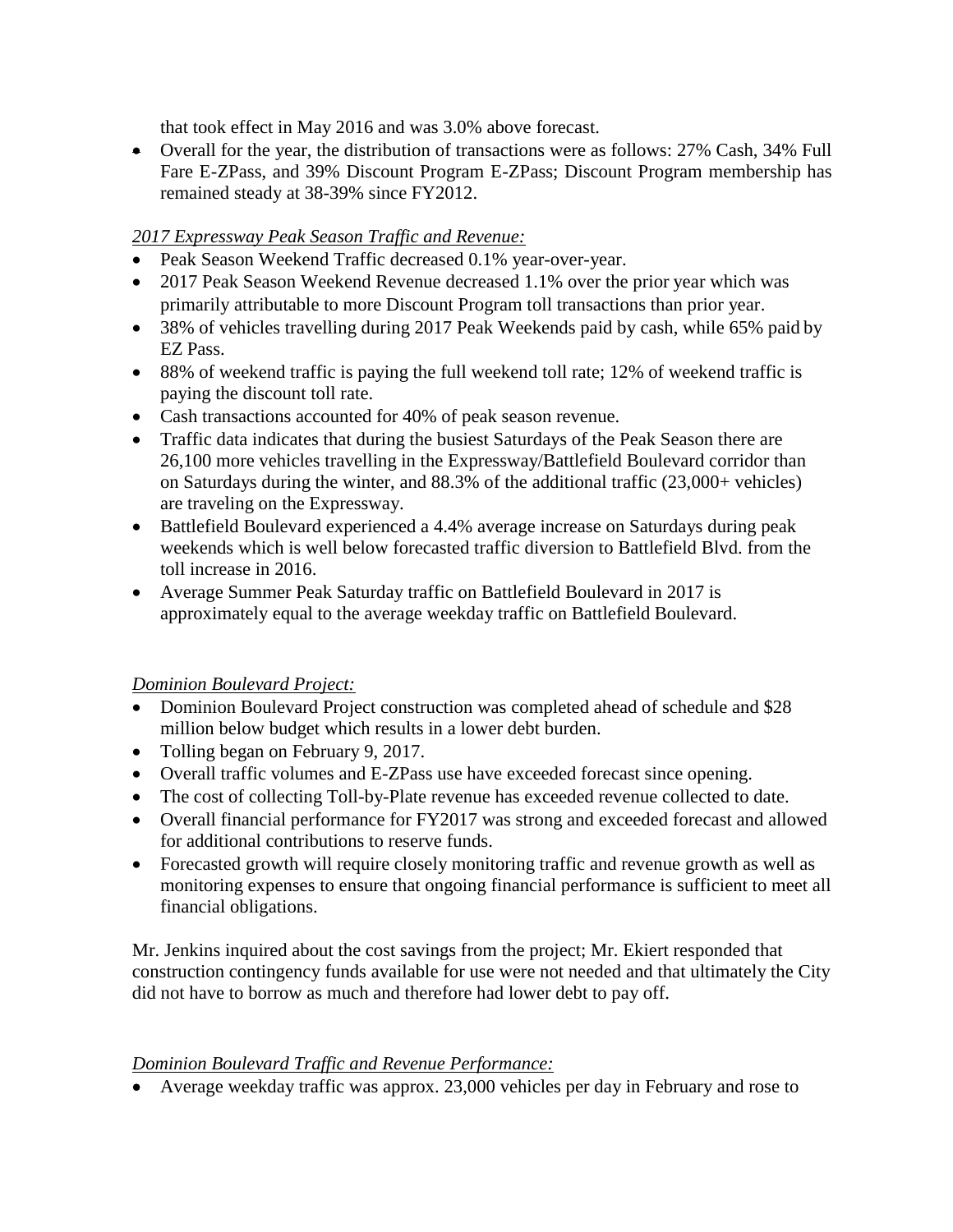that took effect in May 2016 and was 3.0% above forecast.

 Overall for the year, the distribution of transactions were as follows: 27% Cash, 34% Full Fare E-ZPass, and 39% Discount Program E-ZPass; Discount Program membership has remained steady at 38-39% since FY2012.

## *2017 Expressway Peak Season Traffic and Revenue:*

- Peak Season Weekend Traffic decreased 0.1% year-over-year.
- 2017 Peak Season Weekend Revenue decreased 1.1% over the prior year which was primarily attributable to more Discount Program toll transactions than prior year.
- 38% of vehicles travelling during 2017 Peak Weekends paid by cash, while 65% paid by EZ Pass.
- 88% of weekend traffic is paying the full weekend toll rate; 12% of weekend traffic is paying the discount toll rate.
- Cash transactions accounted for 40% of peak season revenue.
- Traffic data indicates that during the busiest Saturdays of the Peak Season there are 26,100 more vehicles travelling in the Expressway/Battlefield Boulevard corridor than on Saturdays during the winter, and 88.3% of the additional traffic (23,000+ vehicles) are traveling on the Expressway.
- Battlefield Boulevard experienced a 4.4% average increase on Saturdays during peak weekends which is well below forecasted traffic diversion to Battlefield Blvd. from the toll increase in 2016.
- Average Summer Peak Saturday traffic on Battlefield Boulevard in 2017 is approximately equal to the average weekday traffic on Battlefield Boulevard.

#### *Dominion Boulevard Project:*

- Dominion Boulevard Project construction was completed ahead of schedule and \$28 million below budget which results in a lower debt burden.
- Tolling began on February 9, 2017.
- Overall traffic volumes and E-ZPass use have exceeded forecast since opening.
- The cost of collecting Toll-by-Plate revenue has exceeded revenue collected to date.
- Overall financial performance for FY2017 was strong and exceeded forecast and allowed for additional contributions to reserve funds.
- Forecasted growth will require closely monitoring traffic and revenue growth as well as monitoring expenses to ensure that ongoing financial performance is sufficient to meet all financial obligations.

Mr. Jenkins inquired about the cost savings from the project; Mr. Ekiert responded that construction contingency funds available for use were not needed and that ultimately the City did not have to borrow as much and therefore had lower debt to pay off.

#### *Dominion Boulevard Traffic and Revenue Performance:*

Average weekday traffic was approx. 23,000 vehicles per day in February and rose to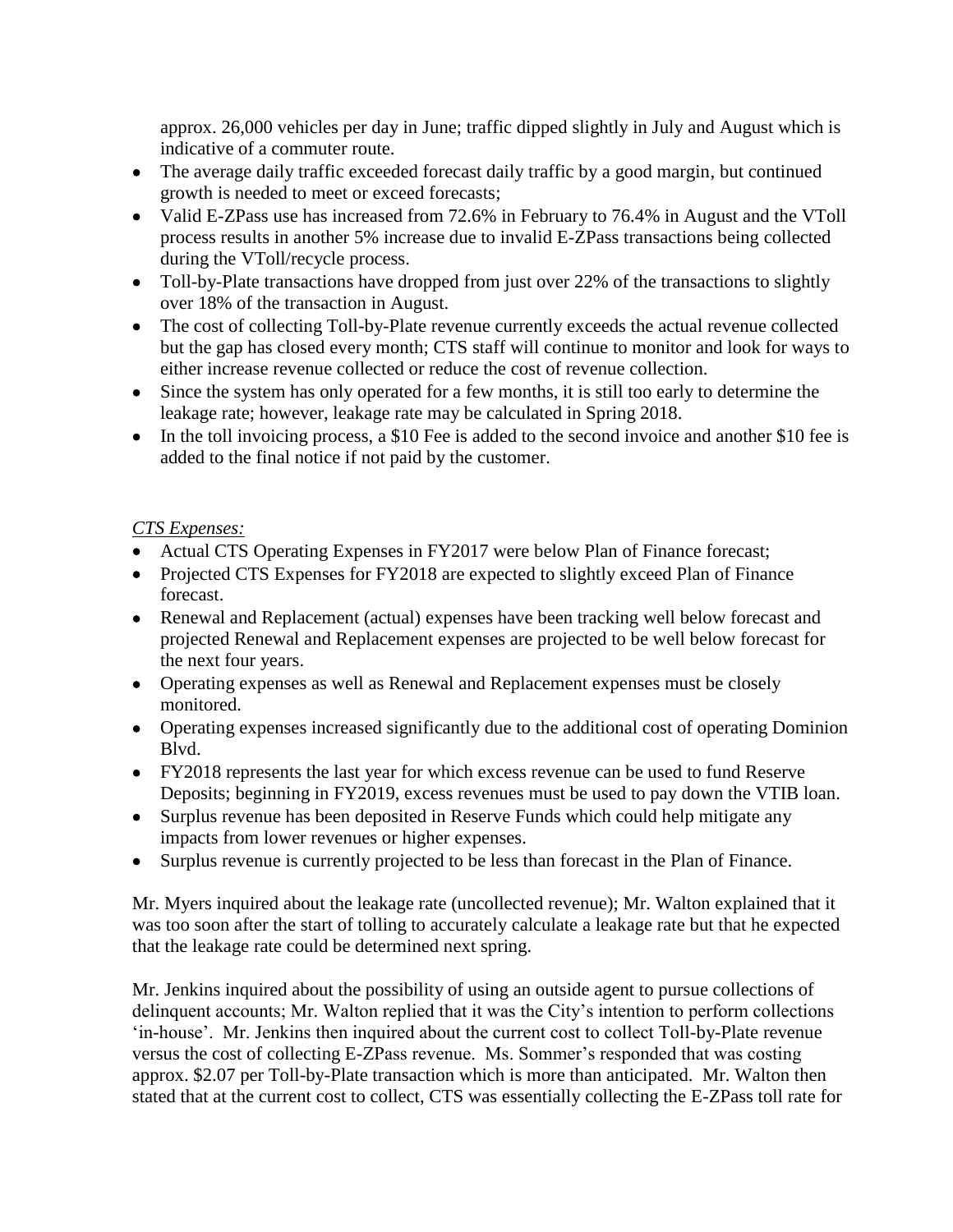approx. 26,000 vehicles per day in June; traffic dipped slightly in July and August which is indicative of a commuter route.

- The average daily traffic exceeded forecast daily traffic by a good margin, but continued growth is needed to meet or exceed forecasts;
- Valid E-ZPass use has increased from 72.6% in February to 76.4% in August and the VToll process results in another 5% increase due to invalid E-ZPass transactions being collected during the VToll/recycle process.
- Toll-by-Plate transactions have dropped from just over 22% of the transactions to slightly over 18% of the transaction in August.
- The cost of collecting Toll-by-Plate revenue currently exceeds the actual revenue collected but the gap has closed every month; CTS staff will continue to monitor and look for ways to either increase revenue collected or reduce the cost of revenue collection.
- Since the system has only operated for a few months, it is still too early to determine the leakage rate; however, leakage rate may be calculated in Spring 2018.
- In the toll invoicing process, a \$10 Fee is added to the second invoice and another \$10 fee is added to the final notice if not paid by the customer.

#### *CTS Expenses:*

- Actual CTS Operating Expenses in FY2017 were below Plan of Finance forecast;
- Projected CTS Expenses for FY2018 are expected to slightly exceed Plan of Finance forecast.
- Renewal and Replacement (actual) expenses have been tracking well below forecast and projected Renewal and Replacement expenses are projected to be well below forecast for the next four years.
- Operating expenses as well as Renewal and Replacement expenses must be closely monitored.
- Operating expenses increased significantly due to the additional cost of operating Dominion Blvd.
- FY2018 represents the last year for which excess revenue can be used to fund Reserve Deposits; beginning in FY2019, excess revenues must be used to pay down the VTIB loan.
- Surplus revenue has been deposited in Reserve Funds which could help mitigate any impacts from lower revenues or higher expenses.
- Surplus revenue is currently projected to be less than forecast in the Plan of Finance.

Mr. Myers inquired about the leakage rate (uncollected revenue); Mr. Walton explained that it was too soon after the start of tolling to accurately calculate a leakage rate but that he expected that the leakage rate could be determined next spring.

Mr. Jenkins inquired about the possibility of using an outside agent to pursue collections of delinquent accounts; Mr. Walton replied that it was the City's intention to perform collections 'in-house'. Mr. Jenkins then inquired about the current cost to collect Toll-by-Plate revenue versus the cost of collecting E-ZPass revenue. Ms. Sommer's responded that was costing approx. \$2.07 per Toll-by-Plate transaction which is more than anticipated. Mr. Walton then stated that at the current cost to collect, CTS was essentially collecting the E-ZPass toll rate for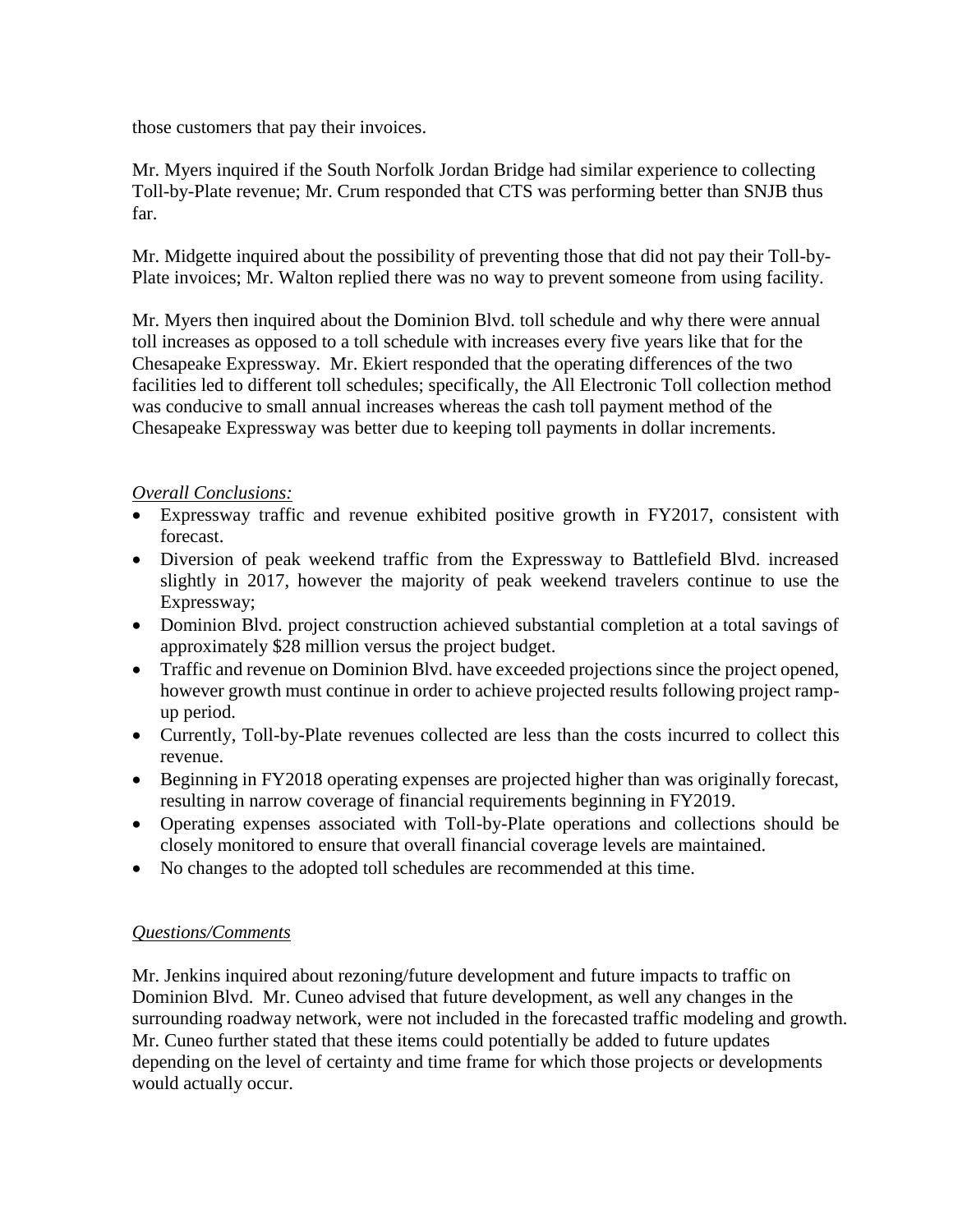those customers that pay their invoices.

Mr. Myers inquired if the South Norfolk Jordan Bridge had similar experience to collecting Toll-by-Plate revenue; Mr. Crum responded that CTS was performing better than SNJB thus far.

Mr. Midgette inquired about the possibility of preventing those that did not pay their Toll-by-Plate invoices; Mr. Walton replied there was no way to prevent someone from using facility.

Mr. Myers then inquired about the Dominion Blvd. toll schedule and why there were annual toll increases as opposed to a toll schedule with increases every five years like that for the Chesapeake Expressway. Mr. Ekiert responded that the operating differences of the two facilities led to different toll schedules; specifically, the All Electronic Toll collection method was conducive to small annual increases whereas the cash toll payment method of the Chesapeake Expressway was better due to keeping toll payments in dollar increments.

#### *Overall Conclusions:*

- Expressway traffic and revenue exhibited positive growth in FY2017, consistent with forecast.
- Diversion of peak weekend traffic from the Expressway to Battlefield Blvd. increased slightly in 2017, however the majority of peak weekend travelers continue to use the Expressway;
- Dominion Blvd. project construction achieved substantial completion at a total savings of approximately \$28 million versus the project budget.
- Traffic and revenue on Dominion Blvd. have exceeded projections since the project opened, however growth must continue in order to achieve projected results following project rampup period.
- Currently, Toll-by-Plate revenues collected are less than the costs incurred to collect this revenue.
- Beginning in FY2018 operating expenses are projected higher than was originally forecast, resulting in narrow coverage of financial requirements beginning in FY2019.
- Operating expenses associated with Toll-by-Plate operations and collections should be closely monitored to ensure that overall financial coverage levels are maintained.
- No changes to the adopted toll schedules are recommended at this time.

#### *Questions/Comments*

Mr. Jenkins inquired about rezoning/future development and future impacts to traffic on Dominion Blvd. Mr. Cuneo advised that future development, as well any changes in the surrounding roadway network, were not included in the forecasted traffic modeling and growth. Mr. Cuneo further stated that these items could potentially be added to future updates depending on the level of certainty and time frame for which those projects or developments would actually occur.